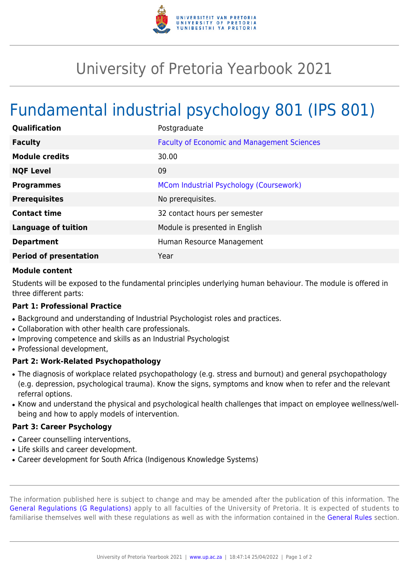

## University of Pretoria Yearbook 2021

# Fundamental industrial psychology 801 (IPS 801)

| Qualification                 | Postgraduate                                       |
|-------------------------------|----------------------------------------------------|
| <b>Faculty</b>                | <b>Faculty of Economic and Management Sciences</b> |
| <b>Module credits</b>         | 30.00                                              |
| <b>NQF Level</b>              | 09                                                 |
| <b>Programmes</b>             | MCom Industrial Psychology (Coursework)            |
| <b>Prerequisites</b>          | No prerequisites.                                  |
| <b>Contact time</b>           | 32 contact hours per semester                      |
| <b>Language of tuition</b>    | Module is presented in English                     |
| <b>Department</b>             | Human Resource Management                          |
| <b>Period of presentation</b> | Year                                               |

#### **Module content**

Students will be exposed to the fundamental principles underlying human behaviour. The module is offered in three different parts:

#### **Part 1: Professional Practice**

- Background and understanding of Industrial Psychologist roles and practices.
- Collaboration with other health care professionals.
- Improving competence and skills as an Industrial Psychologist
- Professional development,

### **Part 2: Work-Related Psychopathology**

- The diagnosis of workplace related psychopathology (e.g. stress and burnout) and general psychopathology (e.g. depression, psychological trauma). Know the signs, symptoms and know when to refer and the relevant referral options.
- Know and understand the physical and psychological health challenges that impact on employee wellness/wellbeing and how to apply models of intervention.

#### **Part 3: Career Psychology**

- Career counselling interventions,
- Life skills and career development.
- Career development for South Africa (Indigenous Knowledge Systems)

The information published here is subject to change and may be amended after the publication of this information. The [General Regulations \(G Regulations\)](https://www.up.ac.za/yearbooks/2021/rules/view/REG) apply to all faculties of the University of Pretoria. It is expected of students to familiarise themselves well with these regulations as well as with the information contained in the [General Rules](https://www.up.ac.za/yearbooks/2021/rules/view/RUL) section.